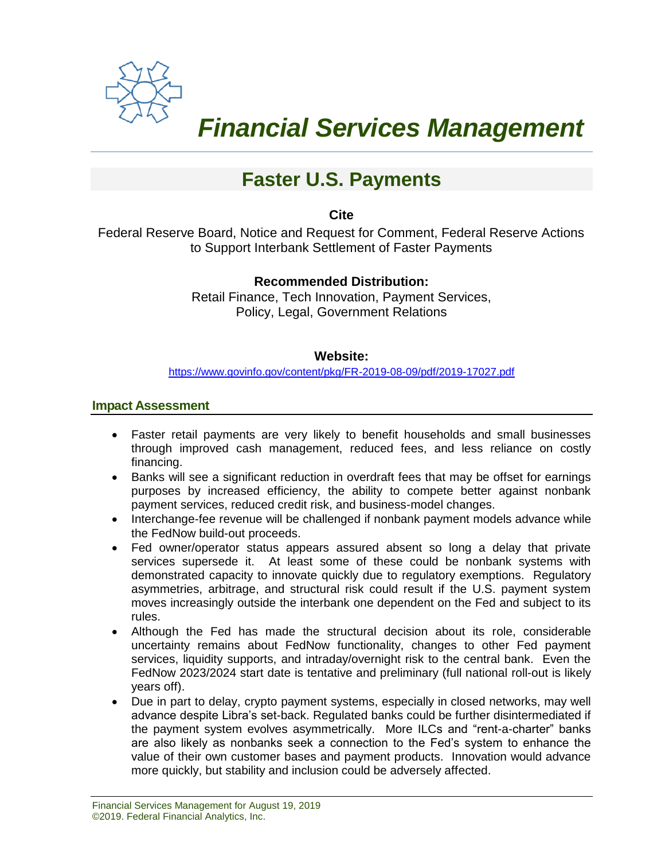

 *Financial Services Management* 

# **Faster U.S. Payments**

**Cite**

Federal Reserve Board, Notice and Request for Comment, Federal Reserve Actions to Support Interbank Settlement of Faster Payments

# **Recommended Distribution:**

Retail Finance, Tech Innovation, Payment Services, Policy, Legal, Government Relations

#### **Website:**

<https://www.govinfo.gov/content/pkg/FR-2019-08-09/pdf/2019-17027.pdf>

#### **Impact Assessment**

- Faster retail payments are very likely to benefit households and small businesses through improved cash management, reduced fees, and less reliance on costly financing.
- Banks will see a significant reduction in overdraft fees that may be offset for earnings purposes by increased efficiency, the ability to compete better against nonbank payment services, reduced credit risk, and business-model changes.
- Interchange-fee revenue will be challenged if nonbank payment models advance while the FedNow build-out proceeds.
- Fed owner/operator status appears assured absent so long a delay that private services supersede it. At least some of these could be nonbank systems with demonstrated capacity to innovate quickly due to regulatory exemptions. Regulatory asymmetries, arbitrage, and structural risk could result if the U.S. payment system moves increasingly outside the interbank one dependent on the Fed and subject to its rules.
- Although the Fed has made the structural decision about its role, considerable uncertainty remains about FedNow functionality, changes to other Fed payment services, liquidity supports, and intraday/overnight risk to the central bank. Even the FedNow 2023/2024 start date is tentative and preliminary (full national roll-out is likely years off).
- Due in part to delay, crypto payment systems, especially in closed networks, may well advance despite Libra's set-back. Regulated banks could be further disintermediated if the payment system evolves asymmetrically. More ILCs and "rent-a-charter" banks are also likely as nonbanks seek a connection to the Fed's system to enhance the value of their own customer bases and payment products. Innovation would advance more quickly, but stability and inclusion could be adversely affected.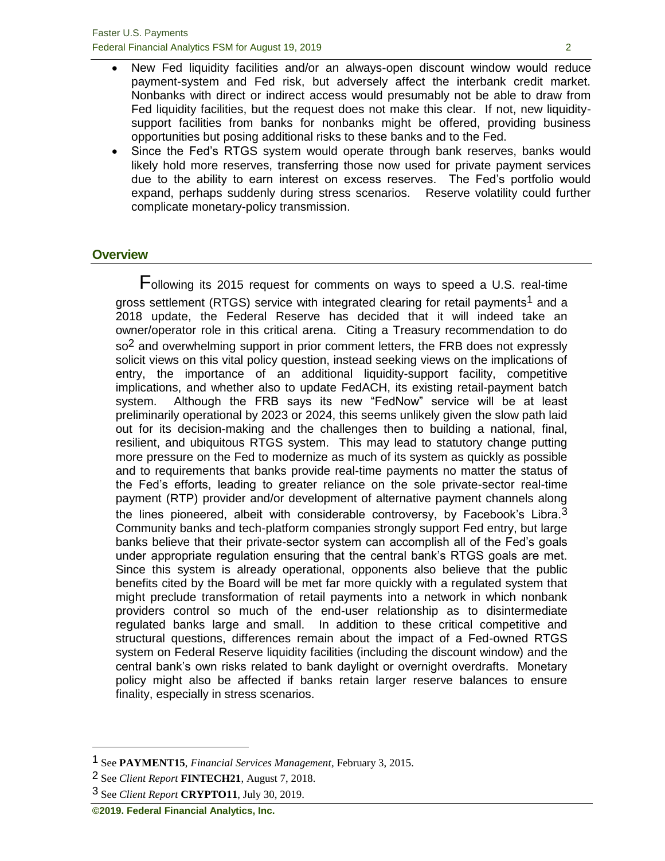- New Fed liquidity facilities and/or an always-open discount window would reduce payment-system and Fed risk, but adversely affect the interbank credit market. Nonbanks with direct or indirect access would presumably not be able to draw from Fed liquidity facilities, but the request does not make this clear. If not, new liquiditysupport facilities from banks for nonbanks might be offered, providing business opportunities but posing additional risks to these banks and to the Fed.
- Since the Fed's RTGS system would operate through bank reserves, banks would likely hold more reserves, transferring those now used for private payment services due to the ability to earn interest on excess reserves. The Fed's portfolio would expand, perhaps suddenly during stress scenarios. Reserve volatility could further complicate monetary-policy transmission.

#### **Overview**

Following its 2015 request for comments on ways to speed a U.S. real-time gross settlement (RTGS) service with integrated clearing for retail payments<sup>1</sup> and a 2018 update, the Federal Reserve has decided that it will indeed take an owner/operator role in this critical arena. Citing a Treasury recommendation to do  $\delta$  and overwhelming support in prior comment letters, the FRB does not expressly solicit views on this vital policy question, instead seeking views on the implications of entry, the importance of an additional liquidity-support facility, competitive implications, and whether also to update FedACH, its existing retail-payment batch system. Although the FRB says its new "FedNow" service will be at least preliminarily operational by 2023 or 2024, this seems unlikely given the slow path laid out for its decision-making and the challenges then to building a national, final, resilient, and ubiquitous RTGS system. This may lead to statutory change putting more pressure on the Fed to modernize as much of its system as quickly as possible and to requirements that banks provide real-time payments no matter the status of the Fed's efforts, leading to greater reliance on the sole private-sector real-time payment (RTP) provider and/or development of alternative payment channels along the lines pioneered, albeit with considerable controversy, by Facebook's Libra.<sup>3</sup> Community banks and tech-platform companies strongly support Fed entry, but large banks believe that their private-sector system can accomplish all of the Fed's goals under appropriate regulation ensuring that the central bank's RTGS goals are met. Since this system is already operational, opponents also believe that the public benefits cited by the Board will be met far more quickly with a regulated system that might preclude transformation of retail payments into a network in which nonbank providers control so much of the end-user relationship as to disintermediate regulated banks large and small. In addition to these critical competitive and structural questions, differences remain about the impact of a Fed-owned RTGS system on Federal Reserve liquidity facilities (including the discount window) and the central bank's own risks related to bank daylight or overnight overdrafts. Monetary policy might also be affected if banks retain larger reserve balances to ensure finality, especially in stress scenarios.

<sup>1</sup> See **PAYMENT15**, *Financial Services Management*, February 3, 2015.

<sup>2</sup> See *Client Report* **FINTECH21**, August 7, 2018.

<sup>3</sup> See *Client Report* **CRYPTO11**, July 30, 2019.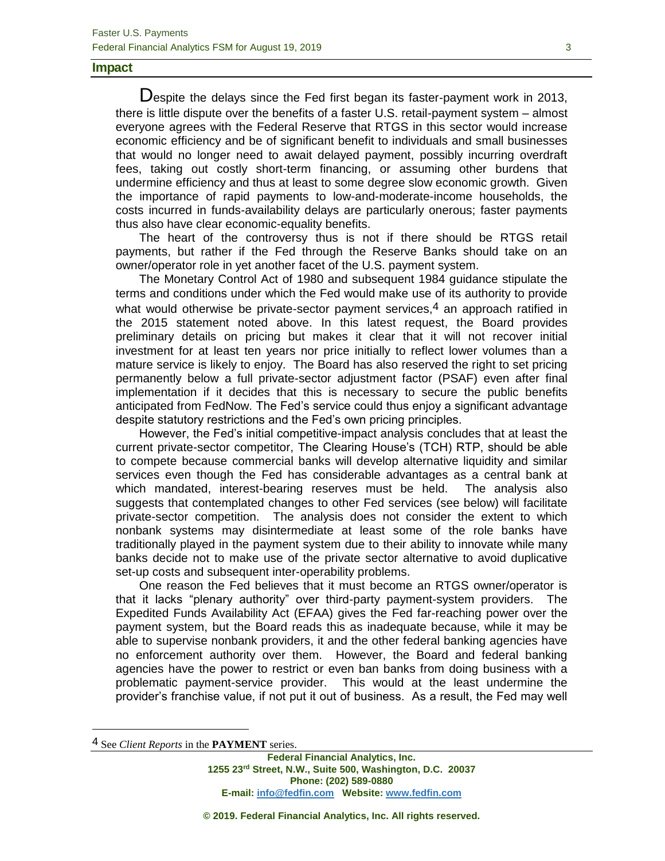#### **Impact**

Despite the delays since the Fed first began its faster-payment work in 2013, there is little dispute over the benefits of a faster U.S. retail-payment system – almost everyone agrees with the Federal Reserve that RTGS in this sector would increase economic efficiency and be of significant benefit to individuals and small businesses that would no longer need to await delayed payment, possibly incurring overdraft fees, taking out costly short-term financing, or assuming other burdens that undermine efficiency and thus at least to some degree slow economic growth. Given the importance of rapid payments to low-and-moderate-income households, the costs incurred in funds-availability delays are particularly onerous; faster payments thus also have clear economic-equality benefits.

The heart of the controversy thus is not if there should be RTGS retail payments, but rather if the Fed through the Reserve Banks should take on an owner/operator role in yet another facet of the U.S. payment system.

The Monetary Control Act of 1980 and subsequent 1984 guidance stipulate the terms and conditions under which the Fed would make use of its authority to provide what would otherwise be private-sector payment services, $4$  an approach ratified in the 2015 statement noted above. In this latest request, the Board provides preliminary details on pricing but makes it clear that it will not recover initial investment for at least ten years nor price initially to reflect lower volumes than a mature service is likely to enjoy. The Board has also reserved the right to set pricing permanently below a full private-sector adjustment factor (PSAF) even after final implementation if it decides that this is necessary to secure the public benefits anticipated from FedNow. The Fed's service could thus enjoy a significant advantage despite statutory restrictions and the Fed's own pricing principles.

However, the Fed's initial competitive-impact analysis concludes that at least the current private-sector competitor, The Clearing House's (TCH) RTP, should be able to compete because commercial banks will develop alternative liquidity and similar services even though the Fed has considerable advantages as a central bank at which mandated, interest-bearing reserves must be held. The analysis also suggests that contemplated changes to other Fed services (see below) will facilitate private-sector competition. The analysis does not consider the extent to which nonbank systems may disintermediate at least some of the role banks have traditionally played in the payment system due to their ability to innovate while many banks decide not to make use of the private sector alternative to avoid duplicative set-up costs and subsequent inter-operability problems.

One reason the Fed believes that it must become an RTGS owner/operator is that it lacks "plenary authority" over third-party payment-system providers. The Expedited Funds Availability Act (EFAA) gives the Fed far-reaching power over the payment system, but the Board reads this as inadequate because, while it may be able to supervise nonbank providers, it and the other federal banking agencies have no enforcement authority over them. However, the Board and federal banking agencies have the power to restrict or even ban banks from doing business with a problematic payment-service provider. This would at the least undermine the provider's franchise value, if not put it out of business. As a result, the Fed may well

<sup>4</sup> See *Client Reports* in the **PAYMENT** series.

**Federal Financial Analytics, Inc. 1255 23rd Street, N.W., Suite 500, Washington, D.C. 20037 Phone: (202) 589-0880 E-mail[: info@fedfin.com](mailto:info@fedfin.com) Website: [www.fedfin.com](http://www.fedfin.com/)**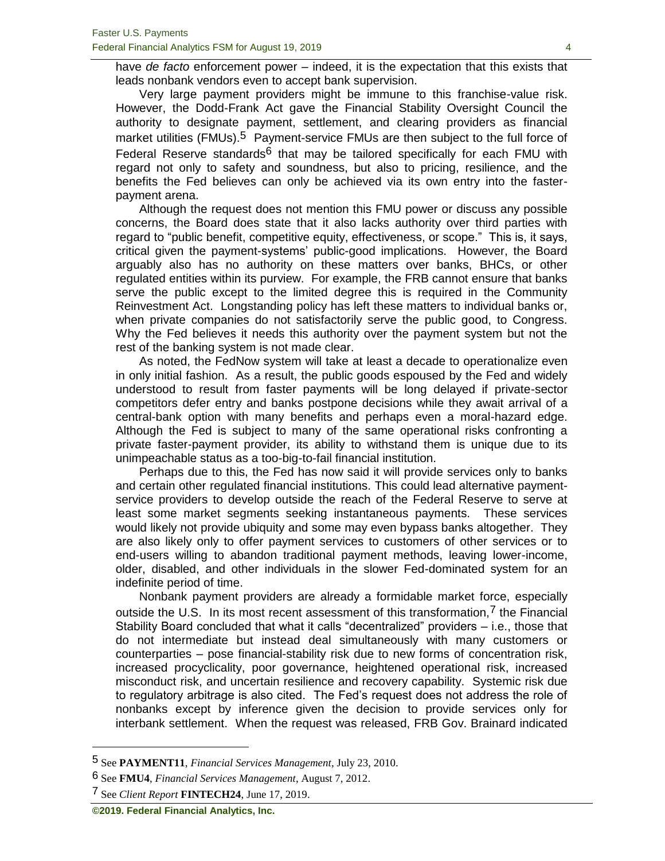have *de facto* enforcement power – indeed, it is the expectation that this exists that leads nonbank vendors even to accept bank supervision.

Very large payment providers might be immune to this franchise-value risk. However, the Dodd-Frank Act gave the Financial Stability Oversight Council the authority to designate payment, settlement, and clearing providers as financial market utilities (FMUs).<sup>5</sup> Payment-service FMUs are then subject to the full force of Federal Reserve standards $6$  that may be tailored specifically for each FMU with regard not only to safety and soundness, but also to pricing, resilience, and the benefits the Fed believes can only be achieved via its own entry into the fasterpayment arena.

Although the request does not mention this FMU power or discuss any possible concerns, the Board does state that it also lacks authority over third parties with regard to "public benefit, competitive equity, effectiveness, or scope." This is, it says, critical given the payment-systems' public-good implications. However, the Board arguably also has no authority on these matters over banks, BHCs, or other regulated entities within its purview. For example, the FRB cannot ensure that banks serve the public except to the limited degree this is required in the Community Reinvestment Act. Longstanding policy has left these matters to individual banks or, when private companies do not satisfactorily serve the public good, to Congress. Why the Fed believes it needs this authority over the payment system but not the rest of the banking system is not made clear.

As noted, the FedNow system will take at least a decade to operationalize even in only initial fashion. As a result, the public goods espoused by the Fed and widely understood to result from faster payments will be long delayed if private-sector competitors defer entry and banks postpone decisions while they await arrival of a central-bank option with many benefits and perhaps even a moral-hazard edge. Although the Fed is subject to many of the same operational risks confronting a private faster-payment provider, its ability to withstand them is unique due to its unimpeachable status as a too-big-to-fail financial institution.

Perhaps due to this, the Fed has now said it will provide services only to banks and certain other regulated financial institutions. This could lead alternative paymentservice providers to develop outside the reach of the Federal Reserve to serve at least some market segments seeking instantaneous payments. These services would likely not provide ubiquity and some may even bypass banks altogether. They are also likely only to offer payment services to customers of other services or to end-users willing to abandon traditional payment methods, leaving lower-income, older, disabled, and other individuals in the slower Fed-dominated system for an indefinite period of time.

Nonbank payment providers are already a formidable market force, especially outside the U.S. In its most recent assessment of this transformation,<sup>7</sup> the Financial Stability Board concluded that what it calls "decentralized" providers – i.e., those that do not intermediate but instead deal simultaneously with many customers or counterparties – pose financial-stability risk due to new forms of concentration risk, increased procyclicality, poor governance, heightened operational risk, increased misconduct risk, and uncertain resilience and recovery capability. Systemic risk due to regulatory arbitrage is also cited. The Fed's request does not address the role of nonbanks except by inference given the decision to provide services only for interbank settlement. When the request was released, FRB Gov. Brainard indicated

<sup>5</sup> See **PAYMENT11**, *Financial Services Management*, July 23, 2010.

<sup>6</sup> See **FMU4**, *Financial Services Management*, August 7, 2012.

<sup>7</sup> See *Client Report* **FINTECH24**, June 17, 2019.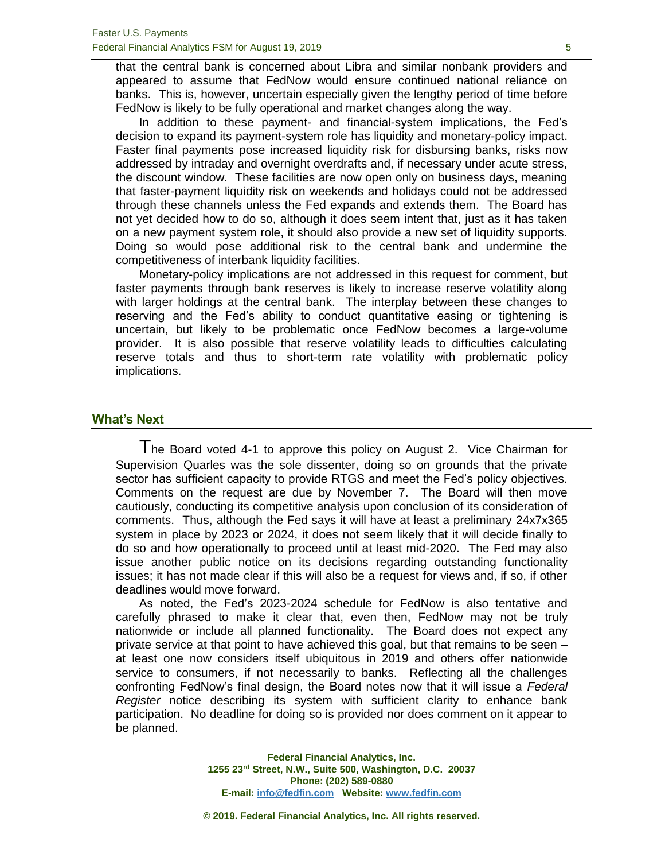that the central bank is concerned about Libra and similar nonbank providers and appeared to assume that FedNow would ensure continued national reliance on banks. This is, however, uncertain especially given the lengthy period of time before FedNow is likely to be fully operational and market changes along the way.

In addition to these payment- and financial-system implications, the Fed's decision to expand its payment-system role has liquidity and monetary-policy impact. Faster final payments pose increased liquidity risk for disbursing banks, risks now addressed by intraday and overnight overdrafts and, if necessary under acute stress, the discount window. These facilities are now open only on business days, meaning that faster-payment liquidity risk on weekends and holidays could not be addressed through these channels unless the Fed expands and extends them. The Board has not yet decided how to do so, although it does seem intent that, just as it has taken on a new payment system role, it should also provide a new set of liquidity supports. Doing so would pose additional risk to the central bank and undermine the competitiveness of interbank liquidity facilities.

Monetary-policy implications are not addressed in this request for comment, but faster payments through bank reserves is likely to increase reserve volatility along with larger holdings at the central bank. The interplay between these changes to reserving and the Fed's ability to conduct quantitative easing or tightening is uncertain, but likely to be problematic once FedNow becomes a large-volume provider. It is also possible that reserve volatility leads to difficulties calculating reserve totals and thus to short-term rate volatility with problematic policy implications.

#### **What's Next**

The Board voted 4-1 to approve this policy on August 2. Vice Chairman for Supervision Quarles was the sole dissenter, doing so on grounds that the private sector has sufficient capacity to provide RTGS and meet the Fed's policy objectives. Comments on the request are due by November 7. The Board will then move cautiously, conducting its competitive analysis upon conclusion of its consideration of comments. Thus, although the Fed says it will have at least a preliminary 24x7x365 system in place by 2023 or 2024, it does not seem likely that it will decide finally to do so and how operationally to proceed until at least mid-2020. The Fed may also issue another public notice on its decisions regarding outstanding functionality issues; it has not made clear if this will also be a request for views and, if so, if other deadlines would move forward.

As noted, the Fed's 2023-2024 schedule for FedNow is also tentative and carefully phrased to make it clear that, even then, FedNow may not be truly nationwide or include all planned functionality. The Board does not expect any private service at that point to have achieved this goal, but that remains to be seen – at least one now considers itself ubiquitous in 2019 and others offer nationwide service to consumers, if not necessarily to banks. Reflecting all the challenges confronting FedNow's final design, the Board notes now that it will issue a *Federal Register* notice describing its system with sufficient clarity to enhance bank participation. No deadline for doing so is provided nor does comment on it appear to be planned.

> **Federal Financial Analytics, Inc. 1255 23rd Street, N.W., Suite 500, Washington, D.C. 20037 Phone: (202) 589-0880 E-mail[: info@fedfin.com](mailto:info@fedfin.com) Website: [www.fedfin.com](http://www.fedfin.com/)**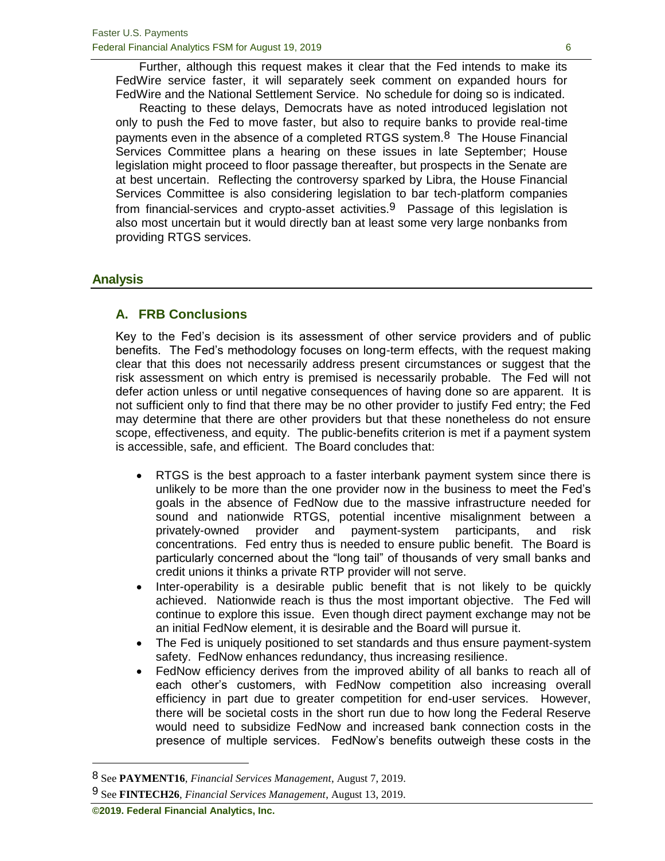Further, although this request makes it clear that the Fed intends to make its FedWire service faster, it will separately seek comment on expanded hours for FedWire and the National Settlement Service. No schedule for doing so is indicated.

Reacting to these delays, Democrats have as noted introduced legislation not only to push the Fed to move faster, but also to require banks to provide real-time payments even in the absence of a completed RTGS system.<sup>8</sup> The House Financial Services Committee plans a hearing on these issues in late September; House legislation might proceed to floor passage thereafter, but prospects in the Senate are at best uncertain. Reflecting the controversy sparked by Libra, the House Financial Services Committee is also considering legislation to bar tech-platform companies from financial-services and crypto-asset activities.<sup>9</sup> Passage of this legislation is also most uncertain but it would directly ban at least some very large nonbanks from providing RTGS services.

#### **Analysis**

#### **A. FRB Conclusions**

Key to the Fed's decision is its assessment of other service providers and of public benefits. The Fed's methodology focuses on long-term effects, with the request making clear that this does not necessarily address present circumstances or suggest that the risk assessment on which entry is premised is necessarily probable. The Fed will not defer action unless or until negative consequences of having done so are apparent. It is not sufficient only to find that there may be no other provider to justify Fed entry; the Fed may determine that there are other providers but that these nonetheless do not ensure scope, effectiveness, and equity. The public-benefits criterion is met if a payment system is accessible, safe, and efficient. The Board concludes that:

- RTGS is the best approach to a faster interbank payment system since there is unlikely to be more than the one provider now in the business to meet the Fed's goals in the absence of FedNow due to the massive infrastructure needed for sound and nationwide RTGS, potential incentive misalignment between a privately-owned provider and payment-system participants, and risk concentrations. Fed entry thus is needed to ensure public benefit. The Board is particularly concerned about the "long tail" of thousands of very small banks and credit unions it thinks a private RTP provider will not serve.
- Inter-operability is a desirable public benefit that is not likely to be quickly achieved. Nationwide reach is thus the most important objective. The Fed will continue to explore this issue. Even though direct payment exchange may not be an initial FedNow element, it is desirable and the Board will pursue it.
- The Fed is uniquely positioned to set standards and thus ensure payment-system safety. FedNow enhances redundancy, thus increasing resilience.
- FedNow efficiency derives from the improved ability of all banks to reach all of each other's customers, with FedNow competition also increasing overall efficiency in part due to greater competition for end-user services. However, there will be societal costs in the short run due to how long the Federal Reserve would need to subsidize FedNow and increased bank connection costs in the presence of multiple services. FedNow's benefits outweigh these costs in the

<sup>8</sup> See **PAYMENT16**, *Financial Services Management*, August 7, 2019.

<sup>9</sup> See **FINTECH26**, *Financial Services Management*, August 13, 2019.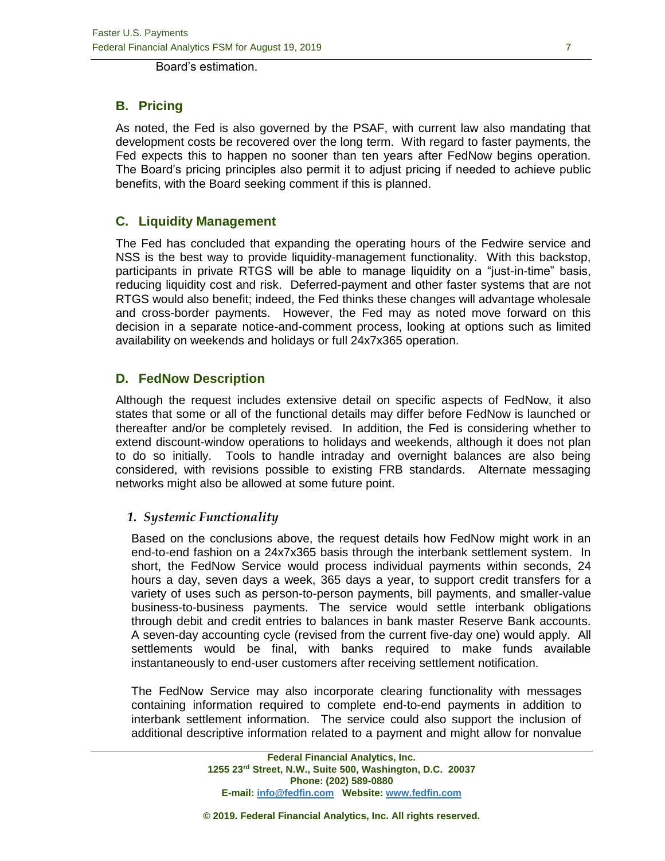Board's estimation.

# **B. Pricing**

As noted, the Fed is also governed by the PSAF, with current law also mandating that development costs be recovered over the long term. With regard to faster payments, the Fed expects this to happen no sooner than ten years after FedNow begins operation. The Board's pricing principles also permit it to adjust pricing if needed to achieve public benefits, with the Board seeking comment if this is planned.

#### **C. Liquidity Management**

The Fed has concluded that expanding the operating hours of the Fedwire service and NSS is the best way to provide liquidity-management functionality. With this backstop, participants in private RTGS will be able to manage liquidity on a "just-in-time" basis, reducing liquidity cost and risk. Deferred-payment and other faster systems that are not RTGS would also benefit; indeed, the Fed thinks these changes will advantage wholesale and cross-border payments. However, the Fed may as noted move forward on this decision in a separate notice-and-comment process, looking at options such as limited availability on weekends and holidays or full 24x7x365 operation.

# **D. FedNow Description**

Although the request includes extensive detail on specific aspects of FedNow, it also states that some or all of the functional details may differ before FedNow is launched or thereafter and/or be completely revised. In addition, the Fed is considering whether to extend discount-window operations to holidays and weekends, although it does not plan to do so initially. Tools to handle intraday and overnight balances are also being considered, with revisions possible to existing FRB standards. Alternate messaging networks might also be allowed at some future point.

#### *1. Systemic Functionality*

Based on the conclusions above, the request details how FedNow might work in an end-to-end fashion on a 24x7x365 basis through the interbank settlement system. In short, the FedNow Service would process individual payments within seconds, 24 hours a day, seven days a week, 365 days a year, to support credit transfers for a variety of uses such as person-to-person payments, bill payments, and smaller-value business-to-business payments. The service would settle interbank obligations through debit and credit entries to balances in bank master Reserve Bank accounts. A seven-day accounting cycle (revised from the current five-day one) would apply. All settlements would be final, with banks required to make funds available instantaneously to end-user customers after receiving settlement notification.

The FedNow Service may also incorporate clearing functionality with messages containing information required to complete end-to-end payments in addition to interbank settlement information. The service could also support the inclusion of additional descriptive information related to a payment and might allow for nonvalue